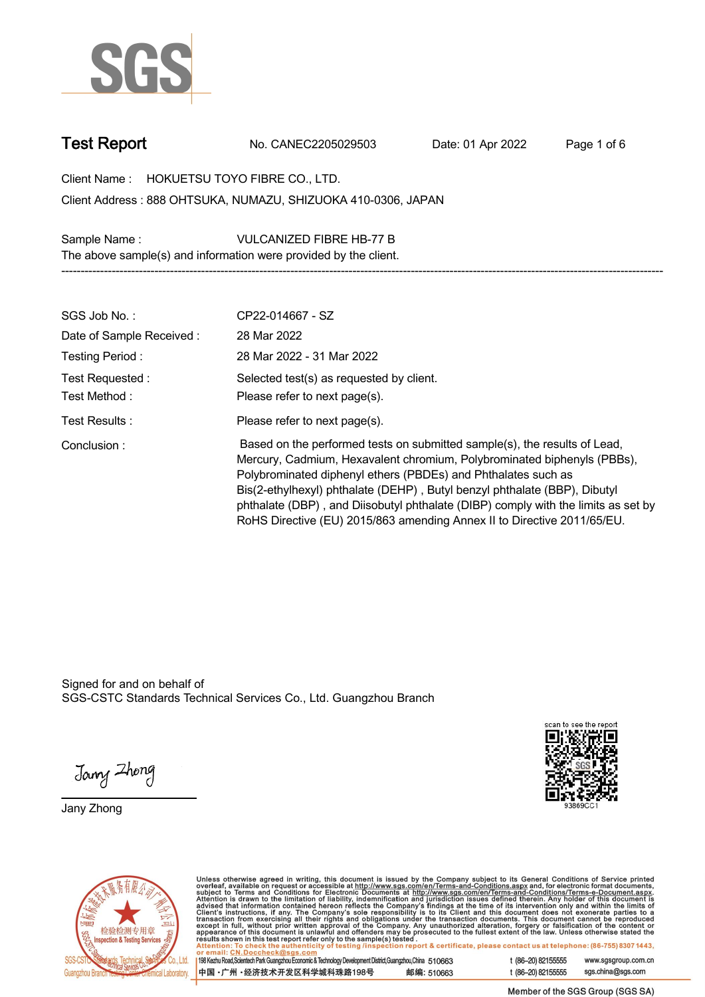

**Test Report. No. CANEC2205029503 . Date: 01 Apr 2022. Page 1 of 6.**

**Client Name : HOKUETSU TOYO FIBRE CO., LTD. . 888 OHTSUKA, NUMAZU, SHIZUOKA 410-0306, JAPAN . Client Address :**

**Sample Name : VULCANIZED FIBRE HB-77 B .**

**The above sample(s) and information were provided by the client.**

| SGS Job No.:                     | CP22-014667 - SZ                                                                                                                                                                                                                                                                                                                                                                                                                                                   |
|----------------------------------|--------------------------------------------------------------------------------------------------------------------------------------------------------------------------------------------------------------------------------------------------------------------------------------------------------------------------------------------------------------------------------------------------------------------------------------------------------------------|
| Date of Sample Received:         | 28 Mar 2022                                                                                                                                                                                                                                                                                                                                                                                                                                                        |
| Testing Period:                  | 28 Mar 2022 - 31 Mar 2022                                                                                                                                                                                                                                                                                                                                                                                                                                          |
| Test Requested :<br>Test Method: | Selected test(s) as requested by client.<br>Please refer to next page(s).                                                                                                                                                                                                                                                                                                                                                                                          |
| Test Results :                   | Please refer to next page(s).                                                                                                                                                                                                                                                                                                                                                                                                                                      |
|                                  |                                                                                                                                                                                                                                                                                                                                                                                                                                                                    |
| Conclusion:                      | Based on the performed tests on submitted sample(s), the results of Lead,<br>Mercury, Cadmium, Hexavalent chromium, Polybrominated biphenyls (PBBs),<br>Polybrominated diphenyl ethers (PBDEs) and Phthalates such as<br>Bis(2-ethylhexyl) phthalate (DEHP), Butyl benzyl phthalate (BBP), Dibutyl<br>phthalate (DBP), and Diisobutyl phthalate (DIBP) comply with the limits as set by<br>RoHS Directive (EU) 2015/863 amending Annex II to Directive 2011/65/EU. |

**-----------------------------------------------------------------------------------------------------------------------------------------------------------**

Signed for and on behalf of SGS-CSTC Standards Technical Services Co., Ltd. Guangzhou Branch.

Jany Zhong

**Jany Zhong.**





Unless otherwise agreed in writing, this document is issued by the Company subject to its General Conditions of Service printed<br>overleaf, available on request or accessible at http://www.sgs.com/en/Terms-and-Conditions.as

| 198 Kezhu Road,Scientech Park Guangzhou Economic & Technology Development District,Guangzhou,China 510663 |            |
|-----------------------------------------------------------------------------------------------------------|------------|
| 中国 •广州 •经济技术开发区科学城科珠路198号                                                                                 | 邮编: 510663 |

t (86-20) 82155555 www.sgsgroup.com.cn t (86-20) 82155555 sgs.china@sgs.com

Member of the SGS Group (SGS SA)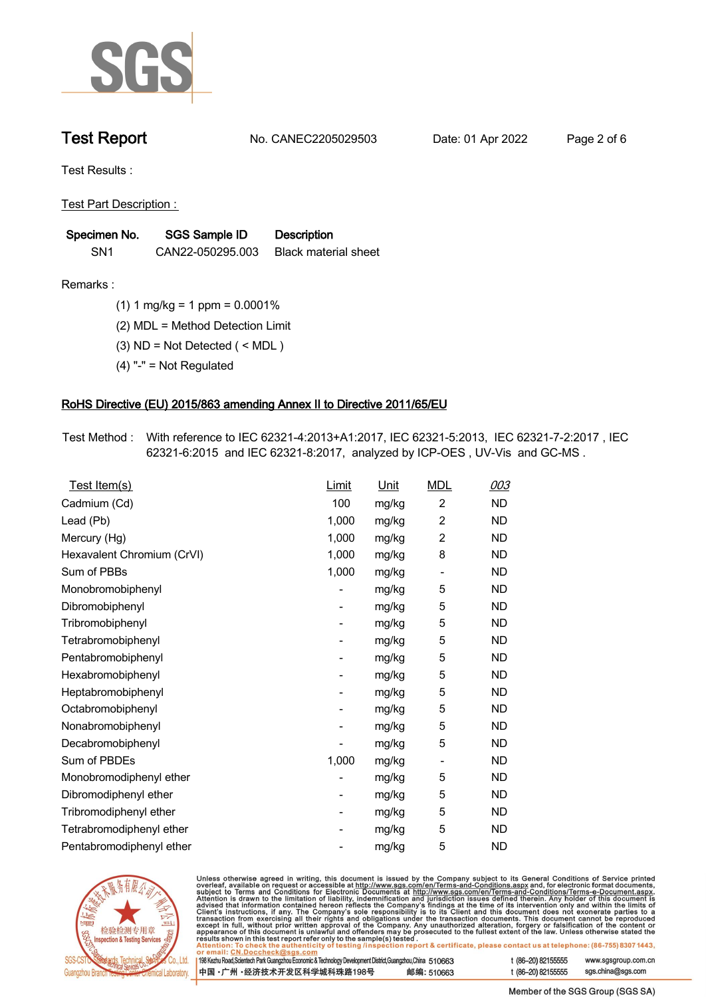

**Test Report. No. CANEC2205029503 . Date: 01 Apr 2022. Page 2 of 6.**

**Test Results :.**

**Test Part Description : .**

| Specimen No.    | SGS Sample ID    | <b>Description</b>          |
|-----------------|------------------|-----------------------------|
| SN <sub>1</sub> | CAN22-050295.003 | <b>Black material sheet</b> |

- **Remarks :.(1) 1 mg/kg = 1 ppm = 0.0001% .**
	- **(2) MDL = Method Detection Limit .**
	- **(3) ND = Not Detected ( < MDL ) .**
	- **(4) "-" = Not Regulated .**

## **RoHS Directive (EU) 2015/863 amending Annex II to Directive 2011/65/EU.**

**Test Method :. With reference to IEC 62321-4:2013+A1:2017, IEC 62321-5:2013, IEC 62321-7-2:2017 , IEC 62321-6:2015 and IEC 62321-8:2017, analyzed by ICP-OES , UV-Vis and GC-MS . .**

| Test Item(s)               | <b>Limit</b> | <u>Unit</u> | <b>MDL</b>                   | 003       |
|----------------------------|--------------|-------------|------------------------------|-----------|
| Cadmium (Cd)               | 100          | mg/kg       | $\overline{c}$               | <b>ND</b> |
| Lead (Pb)                  | 1,000        | mg/kg       | $\overline{2}$               | <b>ND</b> |
| Mercury (Hg)               | 1,000        | mg/kg       | $\overline{2}$               | <b>ND</b> |
| Hexavalent Chromium (CrVI) | 1,000        | mg/kg       | 8                            | <b>ND</b> |
| Sum of PBBs                | 1,000        | mg/kg       | $\overline{\phantom{0}}$     | <b>ND</b> |
| Monobromobiphenyl          |              | mg/kg       | 5                            | <b>ND</b> |
| Dibromobiphenyl            | -            | mg/kg       | 5                            | <b>ND</b> |
| Tribromobiphenyl           | -            | mg/kg       | 5                            | <b>ND</b> |
| Tetrabromobiphenyl         |              | mg/kg       | 5                            | <b>ND</b> |
| Pentabromobiphenyl         | -            | mg/kg       | 5                            | <b>ND</b> |
| Hexabromobiphenyl          |              | mg/kg       | 5                            | <b>ND</b> |
| Heptabromobiphenyl         |              | mg/kg       | 5                            | <b>ND</b> |
| Octabromobiphenyl          | -            | mg/kg       | 5                            | <b>ND</b> |
| Nonabromobiphenyl          |              | mg/kg       | 5                            | <b>ND</b> |
| Decabromobiphenyl          |              | mg/kg       | 5                            | <b>ND</b> |
| Sum of PBDEs               | 1,000        | mg/kg       | $\qquad \qquad \blacksquare$ | <b>ND</b> |
| Monobromodiphenyl ether    |              | mg/kg       | 5                            | <b>ND</b> |
| Dibromodiphenyl ether      |              | mg/kg       | 5                            | <b>ND</b> |
| Tribromodiphenyl ether     | -            | mg/kg       | 5                            | <b>ND</b> |
| Tetrabromodiphenyl ether   |              | mg/kg       | 5                            | <b>ND</b> |
| Pentabromodiphenyl ether   |              | mg/kg       | 5                            | <b>ND</b> |



Unless otherwise agreed in writing, this document is issued by the Company subject to its General Conditions of Service printed overleaf, available on request or accessible at http://www.sgs.com/en/Terms-and-Conditions.as

| or email: CN.Doccheck@sgs.com                                                                                |            |                    |                     |
|--------------------------------------------------------------------------------------------------------------|------------|--------------------|---------------------|
| 198 Kezhu Road, Scientech Park Guangzhou Economic & Technology Development District, Guangzhou, China 510663 |            | t (86-20) 82155555 | www.sgsgroup.com.cl |
| ┃中国 •广州 •经济技术开发区科学城科珠路198号 ↓                                                                                 | 邮编: 510663 | t (86-20) 82155555 | sgs.china@sgs.com   |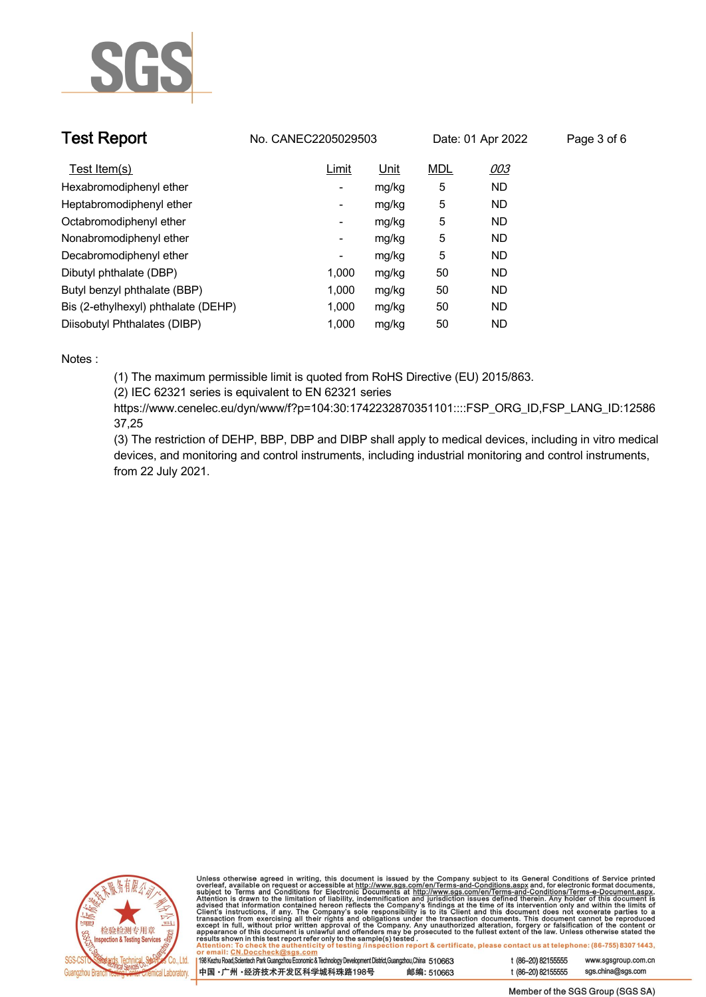

| <b>Test Report</b>                  | No. CANEC2205029503      |       |            | Date: 01 Apr 2022 | Page 3 of 6 |
|-------------------------------------|--------------------------|-------|------------|-------------------|-------------|
| Test Item(s)                        | Limit                    | Unit  | <b>MDL</b> | 003               |             |
| Hexabromodiphenyl ether             | ۰.                       | mg/kg | 5          | <b>ND</b>         |             |
| Heptabromodiphenyl ether            | ٠                        | mg/kg | 5          | <b>ND</b>         |             |
| Octabromodiphenyl ether             | Ξ.                       | mg/kg | 5          | <b>ND</b>         |             |
| Nonabromodiphenyl ether             | Ξ.                       | mg/kg | 5          | <b>ND</b>         |             |
| Decabromodiphenyl ether             | $\overline{\phantom{a}}$ | mg/kg | 5          | <b>ND</b>         |             |
| Dibutyl phthalate (DBP)             | 1.000                    | mg/kg | 50         | <b>ND</b>         |             |
| Butyl benzyl phthalate (BBP)        | 1.000                    | mg/kg | 50         | <b>ND</b>         |             |
| Bis (2-ethylhexyl) phthalate (DEHP) | 1.000                    | mg/kg | 50         | <b>ND</b>         |             |
| Diisobutyl Phthalates (DIBP)        | 1.000                    | mg/kg | 50         | ND                |             |

### **Notes :.**

**(1) The maximum permissible limit is quoted from RoHS Directive (EU) 2015/863.**

**(2) IEC 62321 series is equivalent to EN 62321 series**

**https://www.cenelec.eu/dyn/www/f?p=104:30:1742232870351101::::FSP\_ORG\_ID,FSP\_LANG\_ID:12586 37,25**

**(3) The restriction of DEHP, BBP, DBP and DIBP shall apply to medical devices, including in vitro medical devices, and monitoring and control instruments, including industrial monitoring and control instruments, from 22 July 2021..**



Unless otherwise agreed in writing, this document is issued by the Company subject to its General Conditions of Service printed<br>overleaf, available on request or accessible at http://www.sgs.com/en/Terms-and-Conditions.as

| 198 Kezhu Road, Scientech Park Guangzhou Economic & Technology Development District, Guangzhou, China 510663 |            |
|--------------------------------------------------------------------------------------------------------------|------------|
| 中国・广州 ・经济技术开发区科学城科珠路198号                                                                                     | 邮编: 510663 |

www.sgsgroup.com.cn

t (86-20) 82155555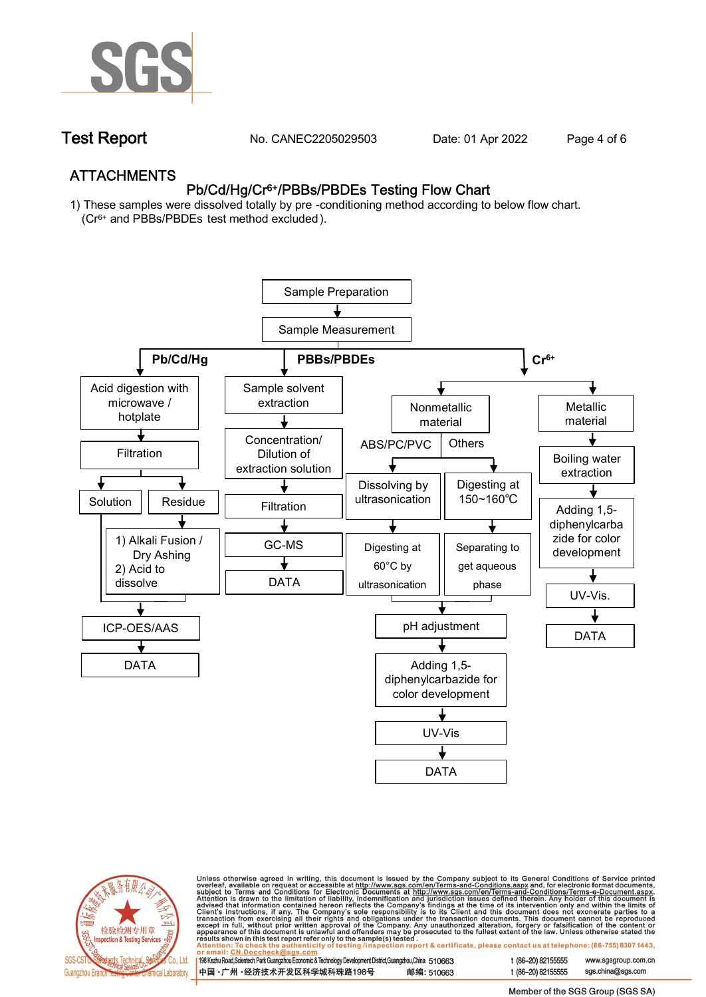

**Test Report. No. CANEC2205029503 . Date: 01 Apr 2022. Page 4 of 6.**

## **ATTACHMENTS Pb/Cd/Hg/Cr6+/PBBs/PBDEs Testing Flow Chart**

**1) These samples were dissolved totally by pre -conditioning method according to below flow chart. (Cr6+ and PBBs/PBDEs test method excluded ).**





Unless otherwise agreed in writing, this document is issued by the Company subject to its General Conditions of Service printed<br>overleaf, available on request or accessible at http://www.sgs.com/en/Terms-and-Conditions.as

| 198 Kezhu Road,Scientech Park Guangzhou Economic & Technology Development District,Guangzhou,China 510663 |            |
|-----------------------------------------------------------------------------------------------------------|------------|
| 中国 •广州 •经济技术开发区科学城科珠路198号                                                                                 | 邮编: 510663 |

t (86-20) 82155555 www.sgsgroup.com.cn t (86-20) 82155555 sas.china@sas.com

Member of the SGS Group (SGS SA)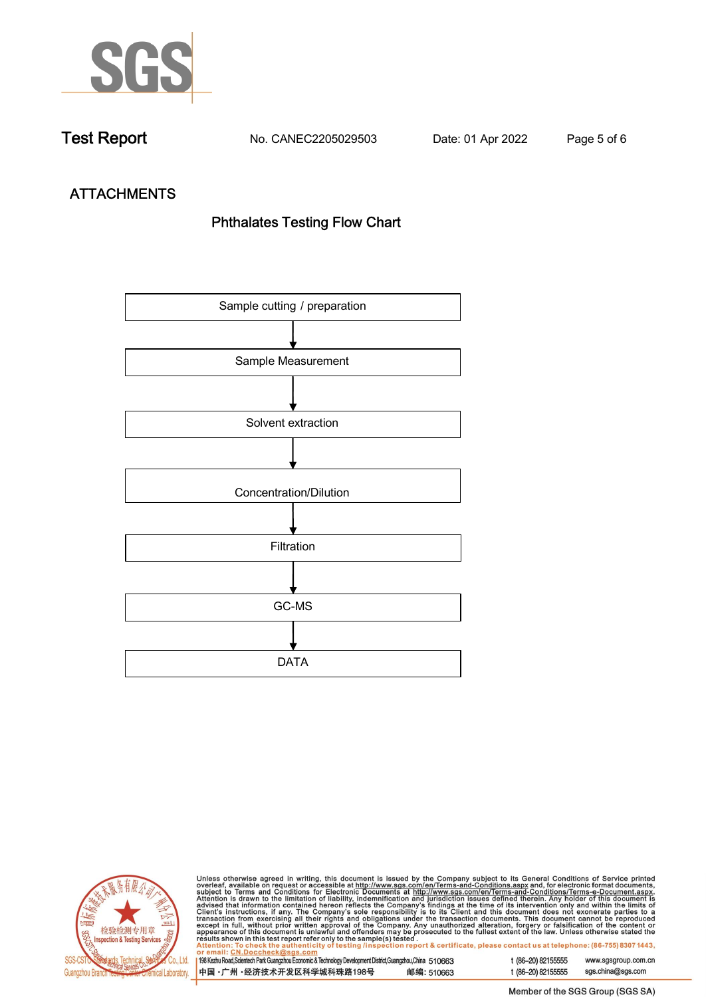

**Test Report. No. CANEC2205029503 . Date: 01 Apr 2022. Page 5 of 6.**

# **ATTACHMENTS Phthalates Testing Flow Chart**





Unless otherwise agreed in writing, this document is issued by the Company subject to its General Conditions of Service printed overleaf, available on request or accessible at http://www.sgs.com/en/Terms-and-Conditions.as

| or email: CN.Doccheck@sus.com                                                                                |            |  |
|--------------------------------------------------------------------------------------------------------------|------------|--|
|                                                                                                              |            |  |
| 198 Kezhu Road, Scientech Park Guangzhou Economic & Technology Development District, Guangzhou, China 510663 |            |  |
|                                                                                                              |            |  |
| ┃中国 •广州 •经济技术开发区科学城科珠路198号 ↓                                                                                 | 邮编: 510663 |  |
|                                                                                                              |            |  |

t (86-20) 82155555 www.sgsgroup.com.cn t (86-20) 82155555 sgs.china@sgs.com